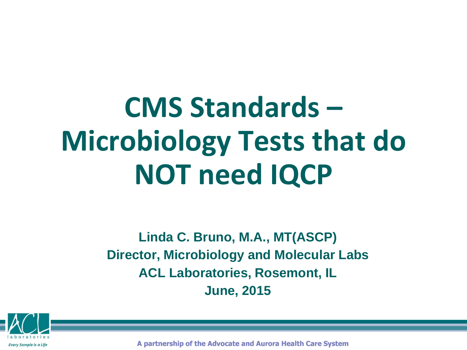# **CMS Standards – Microbiology Tests that do NOT need IQCP**

**Linda C. Bruno, M.A., MT(ASCP) Director, Microbiology and Molecular Labs ACL Laboratories, Rosemont, IL June, 2015**



**A partnership of the Advocate and Aurora Health Care System**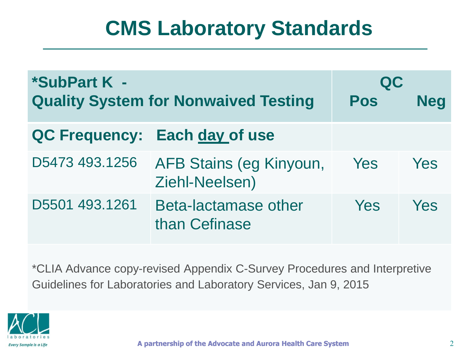| *SubPart K -<br><b>Quality System for Nonwaived Testing</b> |                                           | QC<br><b>Pos</b> | <b>Neg</b> |
|-------------------------------------------------------------|-------------------------------------------|------------------|------------|
|                                                             | QC Frequency: Each day of use             |                  |            |
| D5473 493.1256                                              | AFB Stains (eg Kinyoun,<br>Ziehl-Neelsen) | Yes              | Yes        |
| D5501 493.1261                                              | Beta-lactamase other<br>than Cefinase     | Yes              | Yes        |

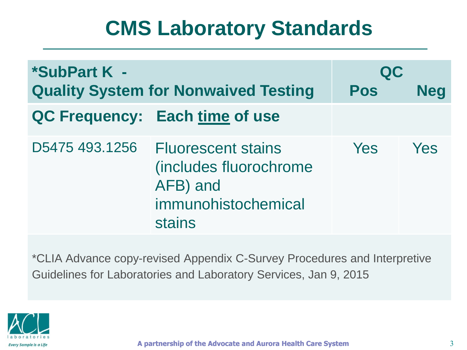| *SubPart K -<br><b>Quality System for Nonwaived Testing</b> |                                                                                                  | QC<br><b>Pos</b> | <b>Neg</b> |
|-------------------------------------------------------------|--------------------------------------------------------------------------------------------------|------------------|------------|
|                                                             | QC Frequency: Each time of use                                                                   |                  |            |
| D5475 493.1256                                              | <b>Fluorescent stains</b><br>(includes fluorochrome<br>AFB) and<br>immunohistochemical<br>stains | <b>Yes</b>       | Yes        |

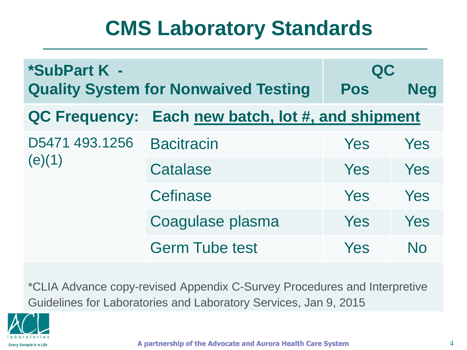| *SubPart K -             | <b>Quality System for Nonwaived Testing</b> | QC<br>Pos | <b>Neg</b>     |
|--------------------------|---------------------------------------------|-----------|----------------|
| <b>QC Frequency:</b>     | Each new batch, lot #, and shipment         |           |                |
| D5471 493.1256<br>(e)(1) | <b>Bacitracin</b>                           | Yes       | Yes            |
|                          | <b>Catalase</b>                             | Yes       | Yes            |
|                          | Cefinase                                    | Yes       | Yes            |
|                          | Coagulase plasma                            | Yes       | Yes            |
|                          | <b>Germ Tube test</b>                       | Yes       | N <sub>0</sub> |

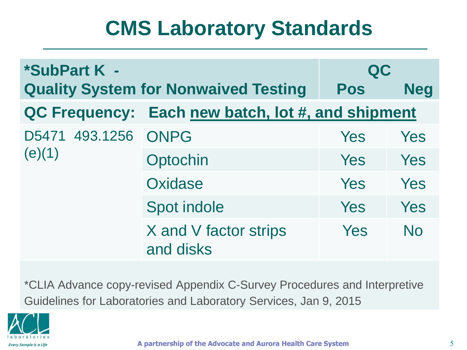| *SubPart K -             |                                                   | QC         |            |
|--------------------------|---------------------------------------------------|------------|------------|
|                          | <b>Quality System for Nonwaived Testing</b>       | <b>Pos</b> | <b>Neg</b> |
|                          | QC Frequency: Each new batch, lot #, and shipment |            |            |
| D5471 493.1256<br>(e)(1) | <b>ONPG</b>                                       | Yes        | <b>Yes</b> |
|                          | Optochin                                          | Yes        | Yes        |
|                          | Oxidase                                           | Yes        | Yes        |
|                          | <b>Spot indole</b>                                | Yes        | Yes        |
|                          | X and V factor strips<br>and disks                | Yes        | <b>No</b>  |

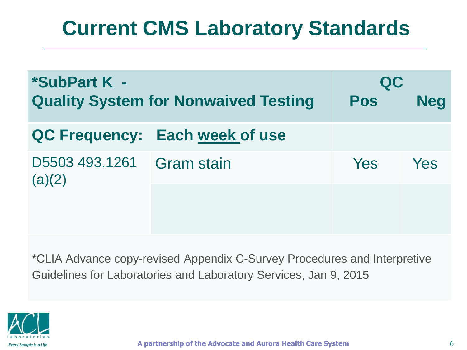# **Current CMS Laboratory Standards**

| *SubPart K -<br><b>Quality System for Nonwaived Testing</b> |                                | QC<br><b>Pos</b> | <b>Neg</b> |
|-------------------------------------------------------------|--------------------------------|------------------|------------|
|                                                             | QC Frequency: Each week of use |                  |            |
| D5503 493.1261<br>(a)(2)                                    | <b>Gram stain</b>              | <b>Yes</b>       | Yes        |
|                                                             |                                |                  |            |
|                                                             |                                |                  |            |